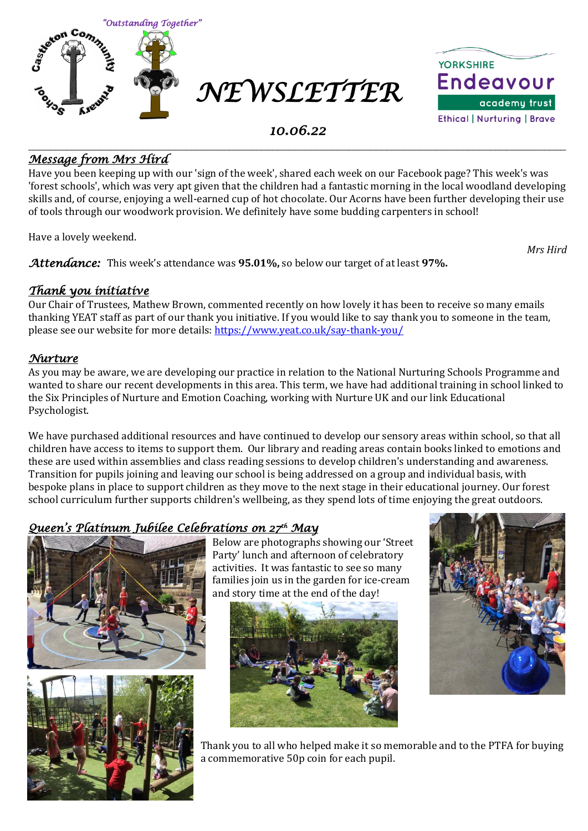



### *10.06.22*

#### \_\_\_\_\_\_\_\_\_\_\_\_\_\_\_\_\_\_\_\_\_\_\_\_\_\_\_\_\_\_\_\_\_\_\_\_\_\_\_\_\_\_\_\_\_\_\_\_\_\_\_\_\_\_\_\_\_\_\_\_\_\_\_\_\_\_\_\_\_\_\_\_\_\_\_\_\_\_\_\_\_\_\_\_\_\_\_\_\_\_\_\_\_\_\_\_\_\_\_ *Message from Mrs Hird*

Have you been keeping up with our 'sign of the week', shared each week on our Facebook page? This week's was 'forest schools', which was very apt given that the children had a fantastic morning in the local woodland developing skills and, of course, enjoying a well-earned cup of hot chocolate. Our Acorns have been further developing their use of tools through our woodwork provision. We definitely have some budding carpenters in school!

Have a lovely weekend.

*Attendance:* This week's attendance was **95.01%,** so below our target of at least **97%.** 

#### *Thank you initiative*

Our Chair of Trustees, Mathew Brown, commented recently on how lovely it has been to receive so many emails thanking YEAT staff as part of our thank you initiative. If you would like to say thank you to someone in the team, please see our website for more details: <https://www.yeat.co.uk/say-thank-you/>

#### *Nurture*

As you may be aware, we are developing our practice in relation to the National Nurturing Schools Programme and wanted to share our recent developments in this area. This term, we have had additional training in school linked to the Six Principles of Nurture and Emotion Coaching, working with Nurture UK and our link Educational Psychologist.

We have purchased additional resources and have continued to develop our sensory areas within school, so that all children have access to items to support them. Our library and reading areas contain books linked to emotions and these are used within assemblies and class reading sessions to develop children's understanding and awareness. Transition for pupils joining and leaving our school is being addressed on a group and individual basis, with bespoke plans in place to support children as they move to the next stage in their educational journey. Our forest school curriculum further supports children's wellbeing, as they spend lots of time enjoying the great outdoors.

### *Queen's Platinum Jubilee Celebrations on 27th May*





Below are photographs showing our 'Street Party' lunch and afternoon of celebratory activities. It was fantastic to see so many families join us in the garden for ice-cream and story time at the end of the day!





Thank you to all who helped make it so memorable and to the PTFA for buying a commemorative 50p coin for each pupil.

*Mrs Hird*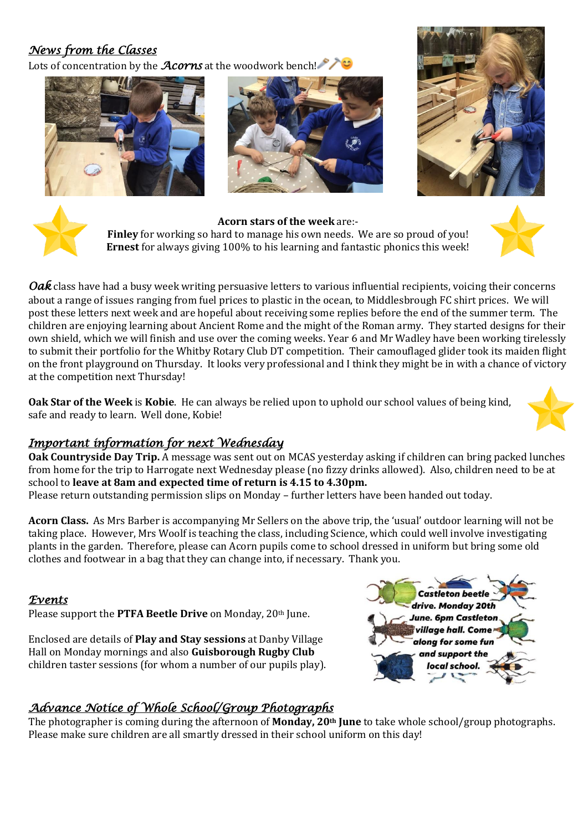## *News from the Classes*

Lots of concentration by the *Acorns* at the woodwork bench!









**Acorn stars of the week** are:- **Finley** for working so hard to manage his own needs. We are so proud of you! **Ernest** for always giving 100% to his learning and fantastic phonics this week!



*Oak* class have had a busy week writing persuasive letters to various influential recipients, voicing their concerns about a range of issues ranging from fuel prices to plastic in the ocean, to Middlesbrough FC shirt prices. We will post these letters next week and are hopeful about receiving some replies before the end of the summer term. The children are enjoying learning about Ancient Rome and the might of the Roman army. They started designs for their own shield, which we will finish and use over the coming weeks. Year 6 and Mr Wadley have been working tirelessly to submit their portfolio for the Whitby Rotary Club DT competition. Their camouflaged glider took its maiden flight on the front playground on Thursday. It looks very professional and I think they might be in with a chance of victory at the competition next Thursday!

**Oak Star of the Week** is **Kobie**. He can always be relied upon to uphold our school values of being kind, safe and ready to learn. Well done, Kobie!



### *Important information for next Wednesday*

**Oak Countryside Day Trip.** A message was sent out on MCAS yesterday asking if children can bring packed lunches from home for the trip to Harrogate next Wednesday please (no fizzy drinks allowed). Also, children need to be at school to **leave at 8am and expected time of return is 4.15 to 4.30pm.** 

Please return outstanding permission slips on Monday – further letters have been handed out today.

**Acorn Class.** As Mrs Barber is accompanying Mr Sellers on the above trip, the 'usual' outdoor learning will not be taking place. However, Mrs Woolf is teaching the class, including Science, which could well involve investigating plants in the garden. Therefore, please can Acorn pupils come to school dressed in uniform but bring some old clothes and footwear in a bag that they can change into, if necessary. Thank you.

#### *Events*

Please support the **PTFA Beetle Drive** on Monday, 20th June.

Enclosed are details of **Play and Stay sessions** at Danby Village Hall on Monday mornings and also **Guisborough Rugby Club** children taster sessions (for whom a number of our pupils play).



### *Advance Notice of Whole School/Group Photographs*

The photographer is coming during the afternoon of **Monday, 20th June** to take whole school/group photographs. Please make sure children are all smartly dressed in their school uniform on this day!